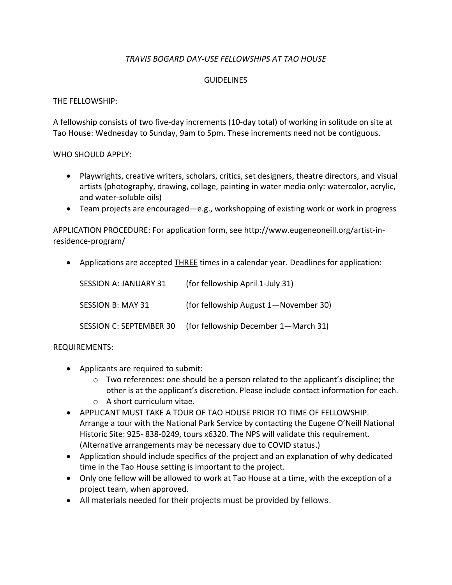### *TRAVIS BOGARD DAY-USE FELLOWSHIPS AT TAO HOUSE*

#### **GUIDELINES**

### THE FELLOWSHIP:

A fellowship consists of two five-day increments (10-day total) of working in solitude on site at Tao House: Wednesday to Sunday, 9am to 5pm. These increments need not be contiguous.

#### WHO SHOULD APPLY:

- Playwrights, creative writers, scholars, critics, set designers, theatre directors, and visual artists (photography, drawing, collage, painting in water media only: watercolor, acrylic, and water-soluble oils)
- Team projects are encouraged—e.g., workshopping of existing work or work in progress

APPLICATION PROCEDURE: For application form, see http://www.eugeneoneill.org/artist-inresidence-program/

• Applications are accepted **THREE** times in a calendar year. Deadlines for application:

| <b>SESSION A: JANUARY 31</b>   | (for fellowship April 1-July 31)      |
|--------------------------------|---------------------------------------|
| <b>SESSION B: MAY 31</b>       | (for fellowship August 1-November 30) |
| <b>SESSION C: SEPTEMBER 30</b> | (for fellowship December 1-March 31)  |

### REQUIREMENTS:

- Applicants are required to submit:
	- $\circ$  Two references: one should be a person related to the applicant's discipline; the other is at the applicant's discretion. Please include contact information for each.
	- o A short curriculum vitae.
- APPLICANT MUST TAKE A TOUR OF TAO HOUSE PRIOR TO TIME OF FELLOWSHIP. Arrange a tour with the National Park Service by contacting the Eugene O'Neill National Historic Site: 925- 838-0249, tours x6320. The NPS will validate this requirement. (Alternative arrangements may be necessary due to COVID status.)
- Application should include specifics of the project and an explanation of why dedicated time in the Tao House setting is important to the project.
- Only one fellow will be allowed to work at Tao House at a time, with the exception of a project team, when approved.
- All materials needed for their projects must be provided by fellows.